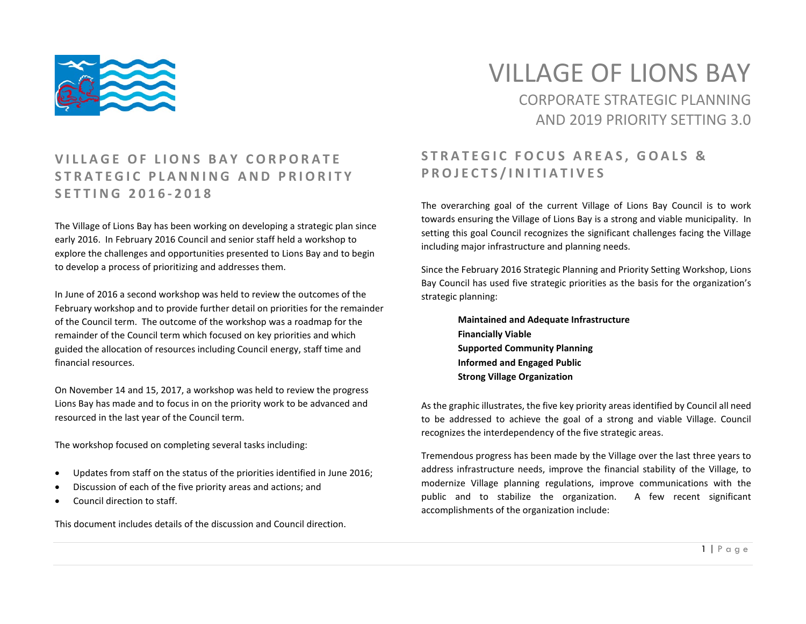

# VILLAGE OF LIONS BAY CORPORATE STRATEGIC PLANNING AND 2019 PRIORITY SETTING 3.0

#### **VILLAGE OF LIONS BAY CORPORATE STRATEGIC PLAN NING AND PRIORITY SETTING 201 6 - 2018**

The Village of Lions Bay has been working on developing a strategic plan since early 2016. In February 2016 Council and senior staff held a workshop to explore the challenges and opportunities presented to Lions Bay and to begin to develop a process of prioritizing and addresses them.

In June of 2016 a second workshop was held to review the outcomes of the February workshop and to provide further detail on priorities for the remainder of the Council term. The outcome of the workshop was a roadmap for the remainder of the Council term which focused on key priorities and which guided the allocation of resources including Council energy, staff time and financial resources.

On November 14 and 15, 2017, a workshop was held to review the progress Lions Bay has made and to focus in on the priority work to be advanced and resourced in the last year of the Council term.

The workshop focused on completing several tasks including:

- Updates from staff on the status of the priorities identified in June 2016;
- Discussion of each of the five priority areas and actions; and
- Council direction to staff.

This document includes details of the discussion and Council direction.

### **STRATEGIC FOCUS AREAS, GOALS & PROJECTS/INITIATIVES**

The overarching goal of the current Village of Lions Bay Council is to work towards ensuring the Village of Lions Bay is a strong and viable municipality. In setting this goal Council recognizes the significant challenges facing the Village including major infrastructure and planning needs.

Since the February 2016 Strategic Planning and Priority Setting Workshop, Lions Bay Council has used five strategic priorities as the basis for the organization's strategic planning:

> **Maintained and Adequate Infrastructure Financially Viable Supported Community Planning Informed and Engaged Public Strong Village Organization**

As the graphic illustrates, the five key priority areas identified by Council all need to be addressed to achieve the goal of a strong and viable Village. Council recognizes the interdependency of the five strategic areas.

Tremendous progress has been made by the Village over the last three years to address infrastructure needs, improve the financial stability of the Village, to modernize Village planning regulations, improve communications with the public and to stabilize the organization. A few recent significant accomplishments of the organization include: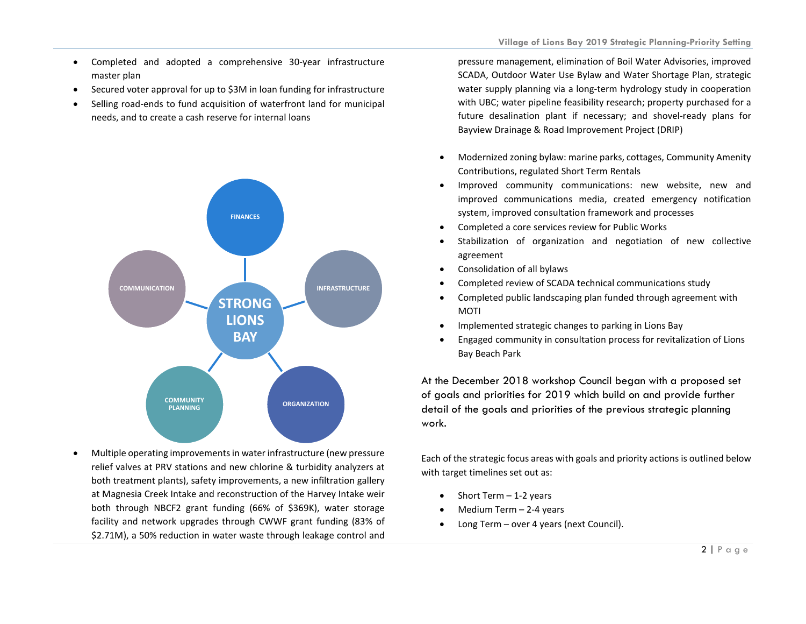- Completed and adopted a comprehensive 30-year infrastructure master plan
- Secured voter approval for up to \$3M in loan funding for infrastructure
- Selling road-ends to fund acquisition of waterfront land for municipal needs, and to create a cash reserve for internal loans



• Multiple operating improvements in water infrastructure (new pressure relief valves at PRV stations and new chlorine & turbidity analyzers at both treatment plants), safety improvements, a new infiltration gallery at Magnesia Creek Intake and reconstruction of the Harvey Intake weir both through NBCF2 grant funding (66% of \$369K), water storage facility and network upgrades through CWWF grant funding (83% of \$2.71M), a 50% reduction in water waste through leakage control and

pressure management, elimination of Boil Water Advisories, improved SCADA, Outdoor Water Use Bylaw and Water Shortage Plan, strategic water supply planning via a long-term hydrology study in cooperation with UBC; water pipeline feasibility research; property purchased for a future desalination plant if necessary; and shovel-ready plans for Bayview Drainage & Road Improvement Project (DRIP)

- Modernized zoning bylaw: marine parks, cottages, Community Amenity Contributions, regulated Short Term Rentals
- Improved community communications: new website, new and improved communications media, created emergency notification system, improved consultation framework and processes
- Completed a core services review for Public Works
- Stabilization of organization and negotiation of new collective agreement
- Consolidation of all bylaws
- Completed review of SCADA technical communications study
- Completed public landscaping plan funded through agreement with MOTI
- Implemented strategic changes to parking in Lions Bay
- Engaged community in consultation process for revitalization of Lions Bay Beach Park

At the December 2018 workshop Council began with a proposed set of goals and priorities for 2019 which build on and provide further detail of the goals and priorities of the previous strategic planning work.

Each of the strategic focus areas with goals and priority actions is outlined below with target timelines set out as:

- Short Term  $-1-2$  years
- Medium Term 2-4 years
- Long Term over 4 years (next Council).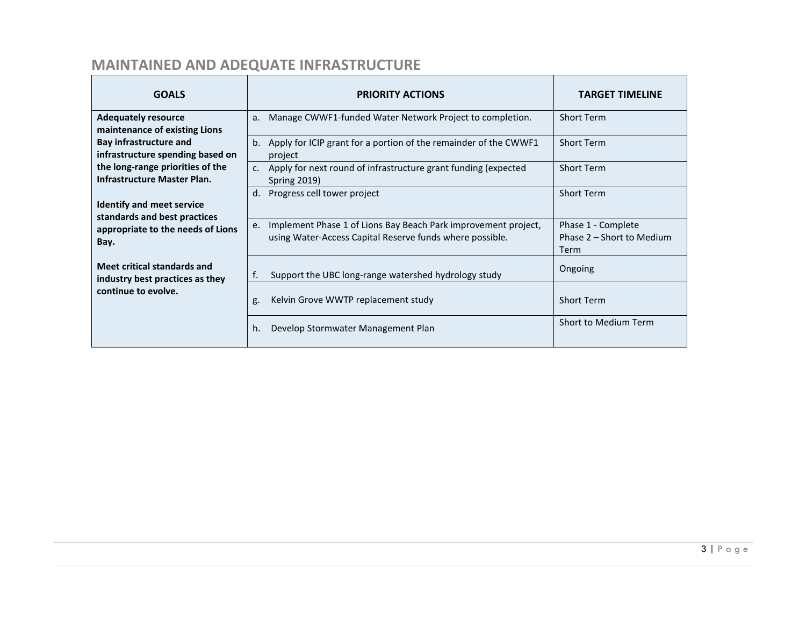# **MAINTAINED AND ADEQUATE INFRASTRUCTURE**

| <b>GOALS</b>                                                                                                                                                                                                                                                                                                  | <b>PRIORITY ACTIONS</b>                                                                                                          | <b>TARGET TIMELINE</b>                                  |
|---------------------------------------------------------------------------------------------------------------------------------------------------------------------------------------------------------------------------------------------------------------------------------------------------------------|----------------------------------------------------------------------------------------------------------------------------------|---------------------------------------------------------|
| <b>Adequately resource</b><br>maintenance of existing Lions<br>Bay infrastructure and<br>infrastructure spending based on<br>the long-range priorities of the<br>Infrastructure Master Plan.<br><b>Identify and meet service</b><br>standards and best practices<br>appropriate to the needs of Lions<br>Bay. | Manage CWWF1-funded Water Network Project to completion.<br>a <sub>r</sub>                                                       | <b>Short Term</b>                                       |
|                                                                                                                                                                                                                                                                                                               | Apply for ICIP grant for a portion of the remainder of the CWWF1<br>b.<br>project                                                | <b>Short Term</b>                                       |
|                                                                                                                                                                                                                                                                                                               | c. Apply for next round of infrastructure grant funding (expected<br><b>Spring 2019)</b>                                         | <b>Short Term</b>                                       |
|                                                                                                                                                                                                                                                                                                               | Progress cell tower project<br>d.                                                                                                | <b>Short Term</b>                                       |
|                                                                                                                                                                                                                                                                                                               | Implement Phase 1 of Lions Bay Beach Park improvement project,<br>e.<br>using Water-Access Capital Reserve funds where possible. | Phase 1 - Complete<br>Phase 2 – Short to Medium<br>Term |
| Meet critical standards and<br>industry best practices as they                                                                                                                                                                                                                                                | Support the UBC long-range watershed hydrology study<br>т.                                                                       | Ongoing                                                 |
| continue to evolve.                                                                                                                                                                                                                                                                                           | Kelvin Grove WWTP replacement study<br>g.                                                                                        | <b>Short Term</b>                                       |
|                                                                                                                                                                                                                                                                                                               | Develop Stormwater Management Plan<br>h.                                                                                         | Short to Medium Term                                    |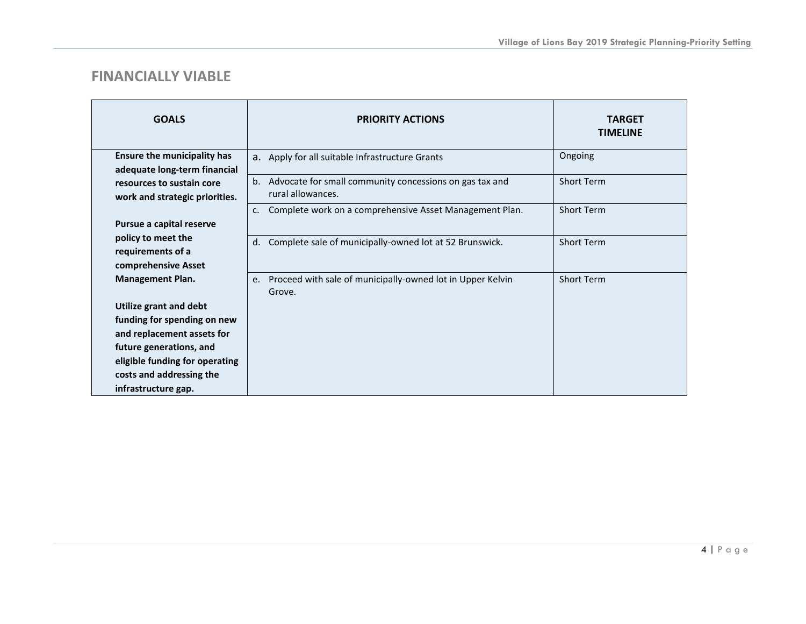#### **FINANCIALLY VIABLE**

| <b>GOALS</b>                                                       | <b>PRIORITY ACTIONS</b>                                                         | <b>TARGET</b><br><b>TIMELINE</b> |
|--------------------------------------------------------------------|---------------------------------------------------------------------------------|----------------------------------|
| <b>Ensure the municipality has</b><br>adequate long-term financial | a. Apply for all suitable Infrastructure Grants                                 | Ongoing                          |
| resources to sustain core<br>work and strategic priorities.        | b. Advocate for small community concessions on gas tax and<br>rural allowances. | <b>Short Term</b>                |
| Pursue a capital reserve                                           | Complete work on a comprehensive Asset Management Plan.<br>$c_{\cdot}$          | <b>Short Term</b>                |
| policy to meet the<br>requirements of a<br>comprehensive Asset     | Complete sale of municipally-owned lot at 52 Brunswick.<br>d.                   | <b>Short Term</b>                |
| <b>Management Plan.</b>                                            | Proceed with sale of municipally-owned lot in Upper Kelvin<br>e.<br>Grove.      | <b>Short Term</b>                |
| Utilize grant and debt                                             |                                                                                 |                                  |
| funding for spending on new                                        |                                                                                 |                                  |
| and replacement assets for                                         |                                                                                 |                                  |
| future generations, and                                            |                                                                                 |                                  |
| eligible funding for operating                                     |                                                                                 |                                  |
| costs and addressing the                                           |                                                                                 |                                  |
| infrastructure gap.                                                |                                                                                 |                                  |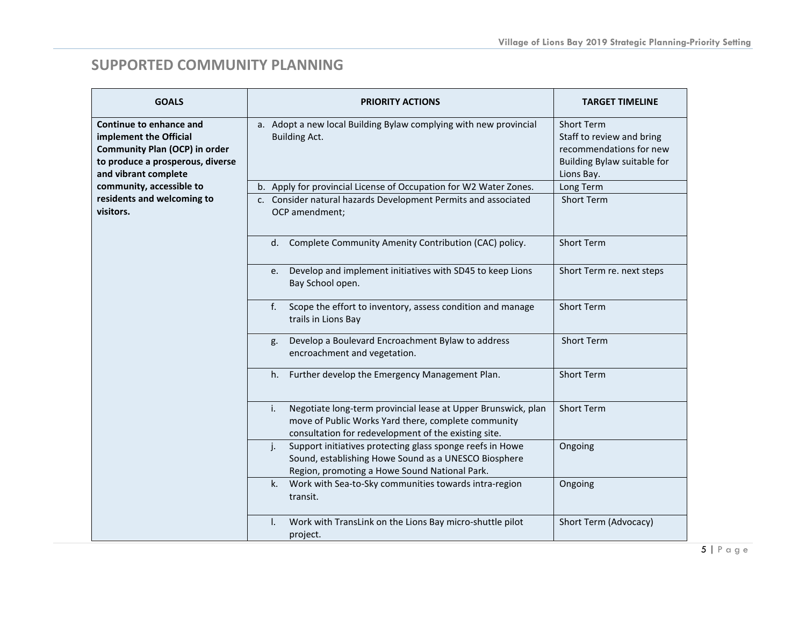### **SUPPORTED COMMUNITY PLANNING**

| <b>GOALS</b>                                                                                                                                          | <b>PRIORITY ACTIONS</b>                                                                                                                                                            | <b>TARGET TIMELINE</b>                                                                                                 |
|-------------------------------------------------------------------------------------------------------------------------------------------------------|------------------------------------------------------------------------------------------------------------------------------------------------------------------------------------|------------------------------------------------------------------------------------------------------------------------|
| Continue to enhance and<br>implement the Official<br><b>Community Plan (OCP) in order</b><br>to produce a prosperous, diverse<br>and vibrant complete | a. Adopt a new local Building Bylaw complying with new provincial<br><b>Building Act.</b>                                                                                          | <b>Short Term</b><br>Staff to review and bring<br>recommendations for new<br>Building Bylaw suitable for<br>Lions Bay. |
| community, accessible to                                                                                                                              | b. Apply for provincial License of Occupation for W2 Water Zones.                                                                                                                  | Long Term                                                                                                              |
| residents and welcoming to<br>visitors.                                                                                                               | c. Consider natural hazards Development Permits and associated<br>OCP amendment;                                                                                                   | <b>Short Term</b>                                                                                                      |
|                                                                                                                                                       | Complete Community Amenity Contribution (CAC) policy.<br>d.                                                                                                                        | <b>Short Term</b>                                                                                                      |
|                                                                                                                                                       | Develop and implement initiatives with SD45 to keep Lions<br>e.<br>Bay School open.                                                                                                | Short Term re. next steps                                                                                              |
|                                                                                                                                                       | Scope the effort to inventory, assess condition and manage<br>f.<br>trails in Lions Bay                                                                                            | <b>Short Term</b>                                                                                                      |
|                                                                                                                                                       | Develop a Boulevard Encroachment Bylaw to address<br>g.<br>encroachment and vegetation.                                                                                            | <b>Short Term</b>                                                                                                      |
|                                                                                                                                                       | Further develop the Emergency Management Plan.<br>h.                                                                                                                               | <b>Short Term</b>                                                                                                      |
|                                                                                                                                                       | Negotiate long-term provincial lease at Upper Brunswick, plan<br>i.<br>move of Public Works Yard there, complete community<br>consultation for redevelopment of the existing site. | <b>Short Term</b>                                                                                                      |
|                                                                                                                                                       | Support initiatives protecting glass sponge reefs in Howe<br>j.<br>Sound, establishing Howe Sound as a UNESCO Biosphere<br>Region, promoting a Howe Sound National Park.           | Ongoing                                                                                                                |
|                                                                                                                                                       | Work with Sea-to-Sky communities towards intra-region<br>k.<br>transit.                                                                                                            | Ongoing                                                                                                                |
|                                                                                                                                                       | Work with TransLink on the Lions Bay micro-shuttle pilot<br>I.<br>project.                                                                                                         | Short Term (Advocacy)                                                                                                  |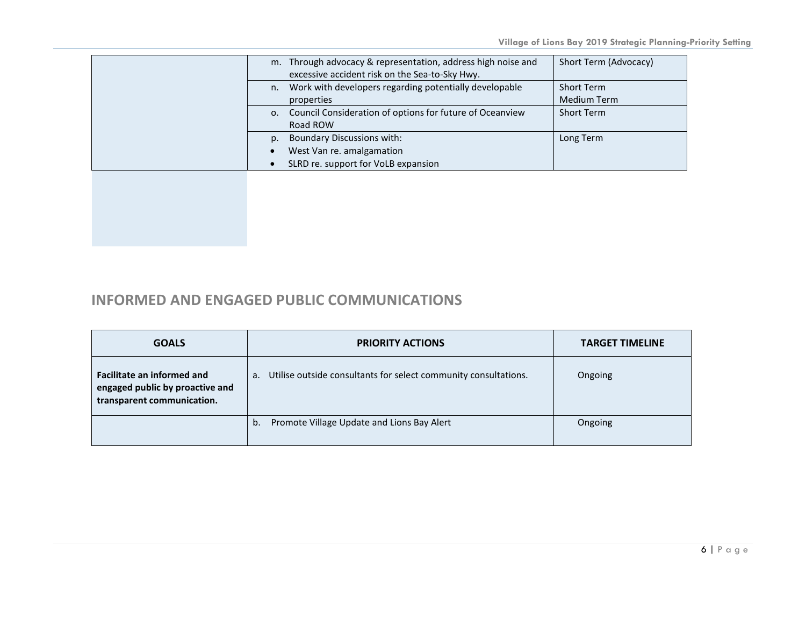|                | m. Through advocacy & representation, address high noise and<br>excessive accident risk on the Sea-to-Sky Hwy. | Short Term (Advocacy) |
|----------------|----------------------------------------------------------------------------------------------------------------|-----------------------|
| n.             | Work with developers regarding potentially developable                                                         | <b>Short Term</b>     |
|                | properties                                                                                                     | <b>Medium Term</b>    |
| 0.             | Council Consideration of options for future of Oceanview                                                       | Short Term            |
|                | Road ROW                                                                                                       |                       |
| D <sub>1</sub> | <b>Boundary Discussions with:</b>                                                                              | Long Term             |
|                | West Van re. amalgamation                                                                                      |                       |
|                | SLRD re. support for VoLB expansion                                                                            |                       |
|                |                                                                                                                |                       |

### **INFORMED AND ENGAGED PUBLIC COMMUNICATIONS**

| <b>GOALS</b>                                                                                       | <b>PRIORITY ACTIONS</b>                                               | <b>TARGET TIMELINE</b> |
|----------------------------------------------------------------------------------------------------|-----------------------------------------------------------------------|------------------------|
| <b>Facilitate an informed and</b><br>engaged public by proactive and<br>transparent communication. | Utilise outside consultants for select community consultations.<br>а. | Ongoing                |
|                                                                                                    | Promote Village Update and Lions Bay Alert<br>b.                      | Ongoing                |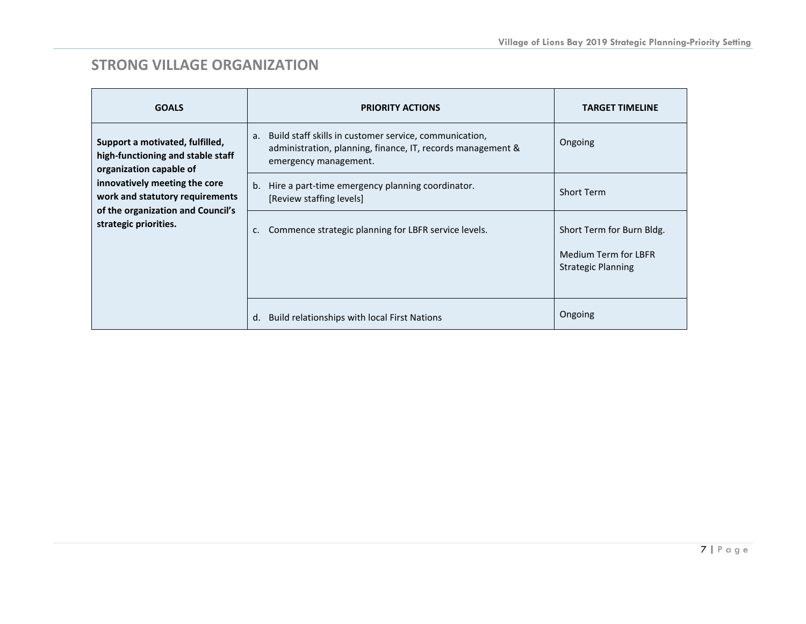## **STRONG VILLAGE ORGANIZATION**

| <b>GOALS</b>                                                                                                                                                                                                                      | <b>PRIORITY ACTIONS</b>                                                                                                                              | <b>TARGET TIMELINE</b>                                                                |
|-----------------------------------------------------------------------------------------------------------------------------------------------------------------------------------------------------------------------------------|------------------------------------------------------------------------------------------------------------------------------------------------------|---------------------------------------------------------------------------------------|
| Support a motivated, fulfilled,<br>high-functioning and stable staff<br>organization capable of<br>innovatively meeting the core<br>work and statutory requirements<br>of the organization and Council's<br>strategic priorities. | Build staff skills in customer service, communication,<br>a.<br>administration, planning, finance, IT, records management &<br>emergency management. | Ongoing                                                                               |
|                                                                                                                                                                                                                                   | b. Hire a part-time emergency planning coordinator.<br>[Review staffing levels]                                                                      | <b>Short Term</b>                                                                     |
|                                                                                                                                                                                                                                   | Commence strategic planning for LBFR service levels.<br>$\mathsf{C}$ .                                                                               | Short Term for Burn Bldg.<br><b>Medium Term for LBFR</b><br><b>Strategic Planning</b> |
|                                                                                                                                                                                                                                   | Build relationships with local First Nations<br>d.                                                                                                   | Ongoing                                                                               |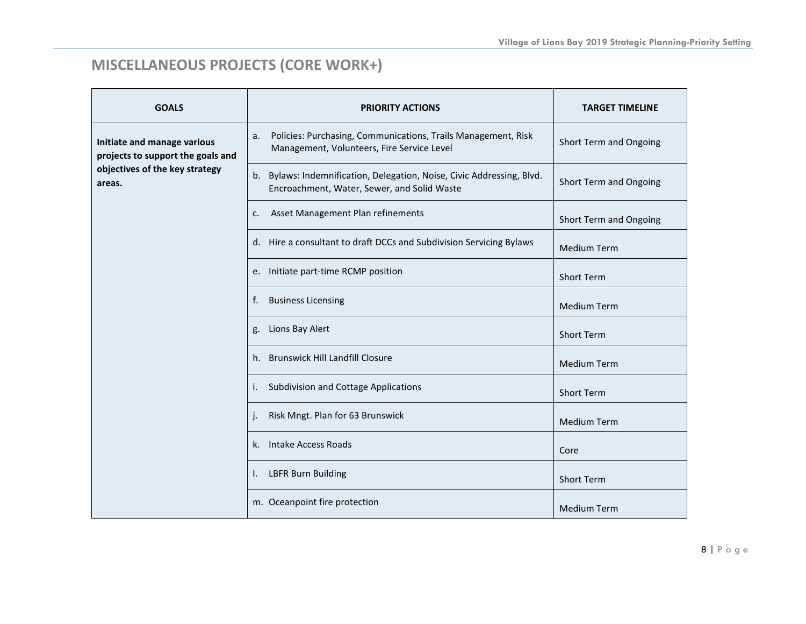# **MISCELLANEOUS PROJECTS (CORE WORK+)**

| <b>GOALS</b>                                                                                                 | <b>PRIORITY ACTIONS</b>                                                                                                  | <b>TARGET TIMELINE</b> |
|--------------------------------------------------------------------------------------------------------------|--------------------------------------------------------------------------------------------------------------------------|------------------------|
| Initiate and manage various<br>projects to support the goals and<br>objectives of the key strategy<br>areas. | Policies: Purchasing, Communications, Trails Management, Risk<br>a.<br>Management, Volunteers, Fire Service Level        | Short Term and Ongoing |
|                                                                                                              | Bylaws: Indemnification, Delegation, Noise, Civic Addressing, Blvd.<br>b.<br>Encroachment, Water, Sewer, and Solid Waste | Short Term and Ongoing |
|                                                                                                              | Asset Management Plan refinements<br>c.                                                                                  | Short Term and Ongoing |
|                                                                                                              | d. Hire a consultant to draft DCCs and Subdivision Servicing Bylaws                                                      | <b>Medium Term</b>     |
|                                                                                                              | e. Initiate part-time RCMP position                                                                                      | <b>Short Term</b>      |
|                                                                                                              | <b>Business Licensing</b><br>f.                                                                                          | <b>Medium Term</b>     |
|                                                                                                              | Lions Bay Alert<br>g.                                                                                                    | <b>Short Term</b>      |
|                                                                                                              | h. Brunswick Hill Landfill Closure                                                                                       | <b>Medium Term</b>     |
|                                                                                                              | Subdivision and Cottage Applications<br>$\mathbf{L}$                                                                     | <b>Short Term</b>      |
|                                                                                                              | Risk Mngt. Plan for 63 Brunswick                                                                                         | <b>Medium Term</b>     |
|                                                                                                              | Intake Access Roads<br>k.                                                                                                | Core                   |
|                                                                                                              | <b>LBFR Burn Building</b><br>Ъ.                                                                                          | <b>Short Term</b>      |
|                                                                                                              | m. Oceanpoint fire protection                                                                                            | <b>Medium Term</b>     |